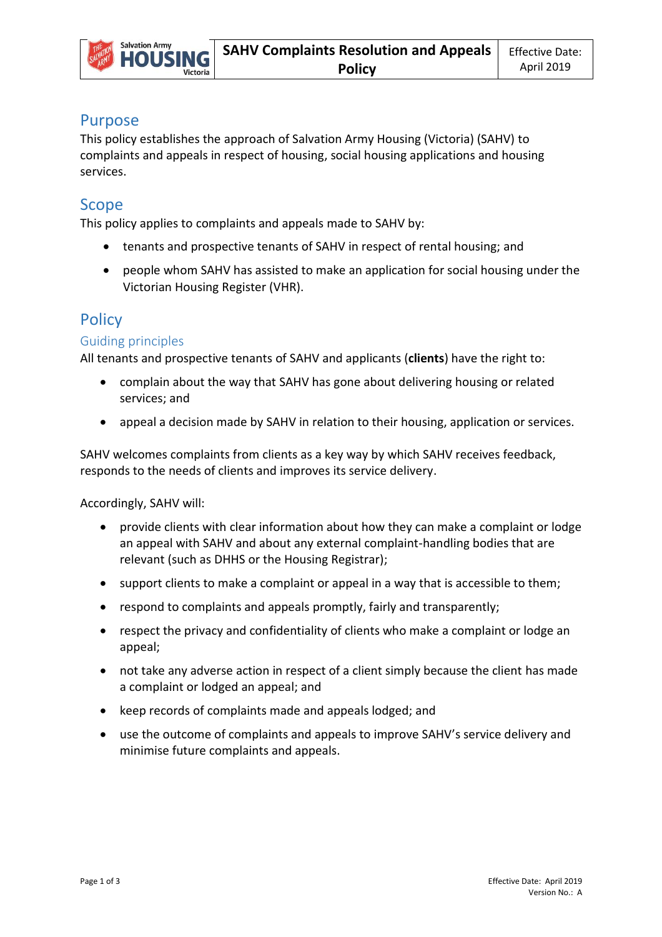

## Purpose

This policy establishes the approach of Salvation Army Housing (Victoria) (SAHV) to complaints and appeals in respect of housing, social housing applications and housing services.

## Scope

This policy applies to complaints and appeals made to SAHV by:

- tenants and prospective tenants of SAHV in respect of rental housing; and
- people whom SAHV has assisted to make an application for social housing under the Victorian Housing Register (VHR).

# **Policy**

#### Guiding principles

All tenants and prospective tenants of SAHV and applicants (**clients**) have the right to:

- complain about the way that SAHV has gone about delivering housing or related services; and
- appeal a decision made by SAHV in relation to their housing, application or services.

SAHV welcomes complaints from clients as a key way by which SAHV receives feedback, responds to the needs of clients and improves its service delivery.

Accordingly, SAHV will:

- provide clients with clear information about how they can make a complaint or lodge an appeal with SAHV and about any external complaint-handling bodies that are relevant (such as DHHS or the Housing Registrar);
- support clients to make a complaint or appeal in a way that is accessible to them;
- respond to complaints and appeals promptly, fairly and transparently;
- respect the privacy and confidentiality of clients who make a complaint or lodge an appeal;
- not take any adverse action in respect of a client simply because the client has made a complaint or lodged an appeal; and
- keep records of complaints made and appeals lodged; and
- use the outcome of complaints and appeals to improve SAHV's service delivery and minimise future complaints and appeals.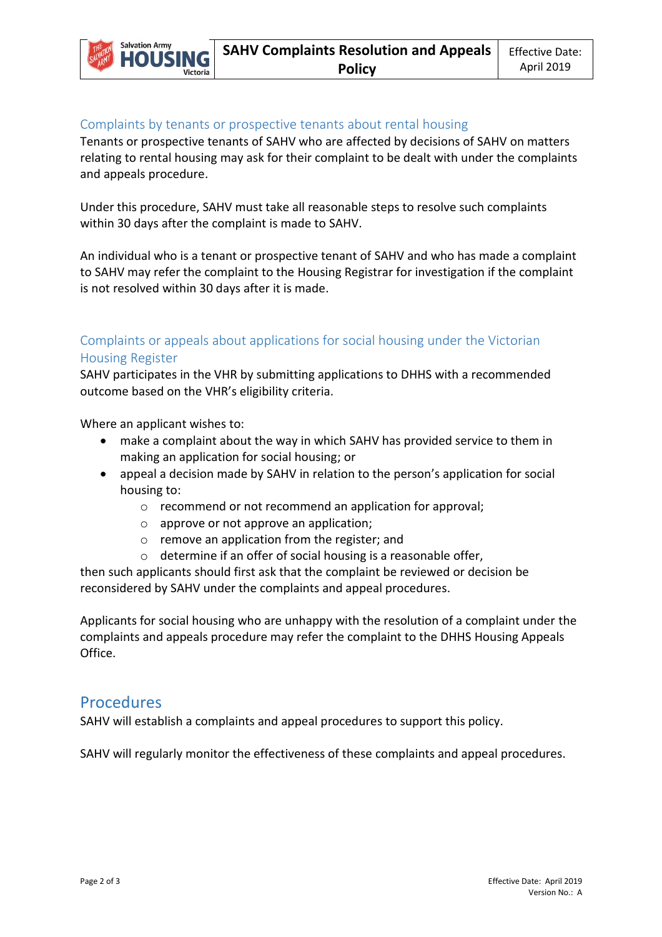

#### Complaints by tenants or prospective tenants about rental housing

Tenants or prospective tenants of SAHV who are affected by decisions of SAHV on matters relating to rental housing may ask for their complaint to be dealt with under the complaints and appeals procedure.

Under this procedure, SAHV must take all reasonable steps to resolve such complaints within 30 days after the complaint is made to SAHV.

An individual who is a tenant or prospective tenant of SAHV and who has made a complaint to SAHV may refer the complaint to the Housing Registrar for investigation if the complaint is not resolved within 30 days after it is made.

## Complaints or appeals about applications for social housing under the Victorian Housing Register

SAHV participates in the VHR by submitting applications to DHHS with a recommended outcome based on the VHR's eligibility criteria.

Where an applicant wishes to:

- make a complaint about the way in which SAHV has provided service to them in making an application for social housing; or
- appeal a decision made by SAHV in relation to the person's application for social housing to:
	- o recommend or not recommend an application for approval;
	- o approve or not approve an application;
	- o remove an application from the register; and
	- o determine if an offer of social housing is a reasonable offer,

then such applicants should first ask that the complaint be reviewed or decision be reconsidered by SAHV under the complaints and appeal procedures.

Applicants for social housing who are unhappy with the resolution of a complaint under the complaints and appeals procedure may refer the complaint to the DHHS Housing Appeals Office.

### Procedures

SAHV will establish a complaints and appeal procedures to support this policy.

SAHV will regularly monitor the effectiveness of these complaints and appeal procedures.